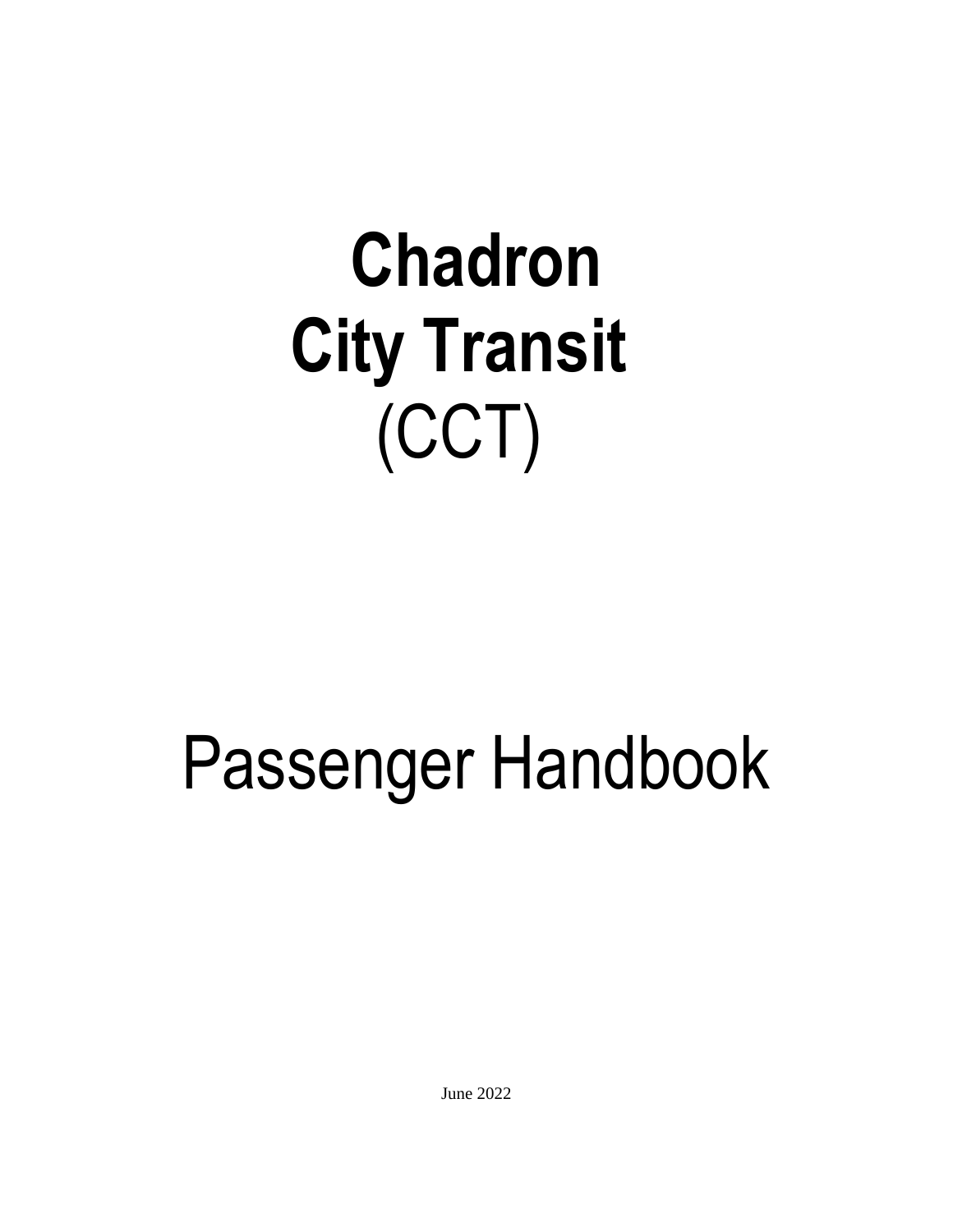# **Chadron City Transit** (CCT)

## Passenger Handbook

June 2022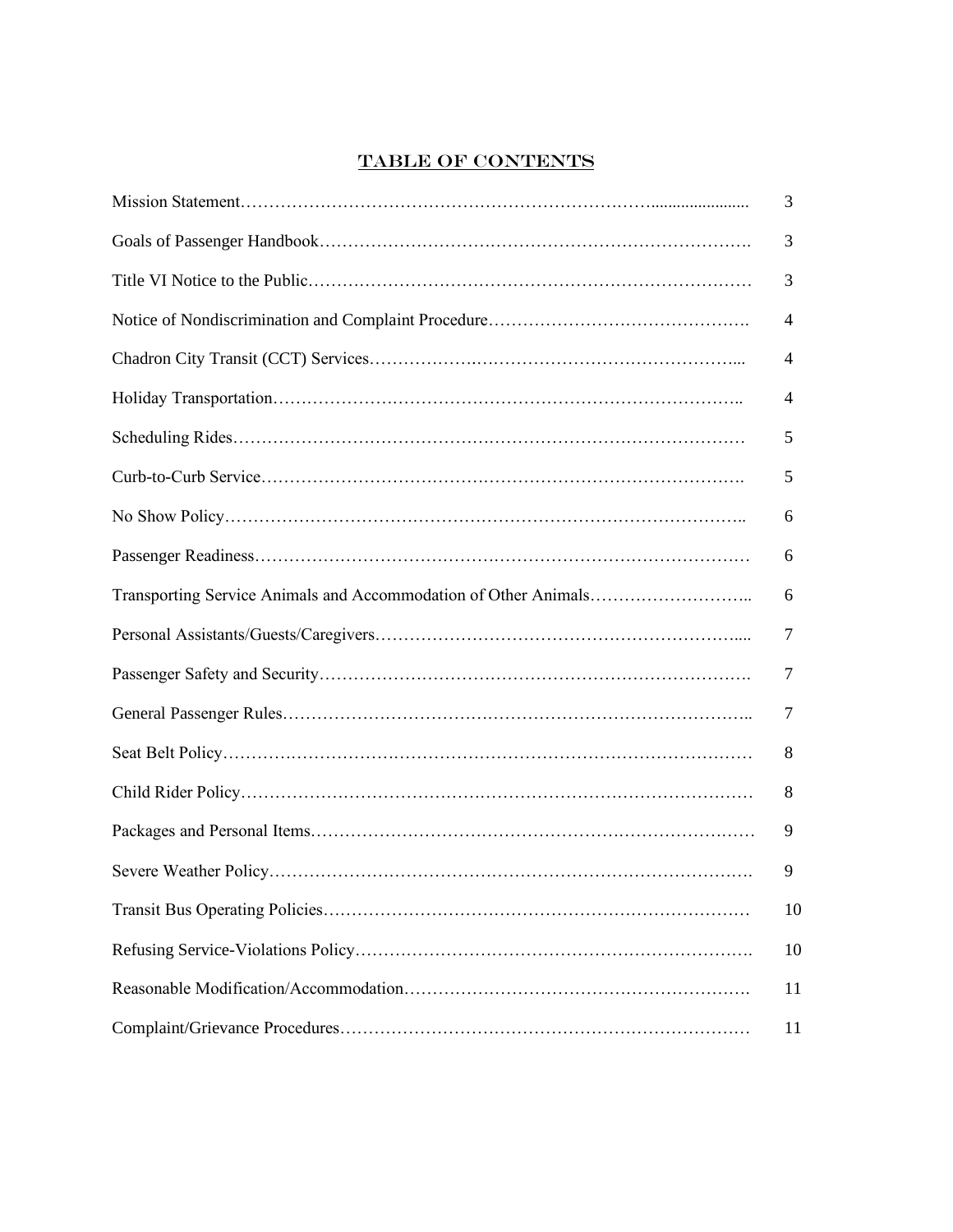## TABLE OF CONTENTS

| 3  |
|----|
| 3  |
| 3  |
| 4  |
| 4  |
| 4  |
| 5  |
| 5  |
| 6  |
| 6  |
| 6  |
| 7  |
| 7  |
| 7  |
| 8  |
| 8  |
| 9  |
| 9  |
| 10 |
| 10 |
| 11 |
| 11 |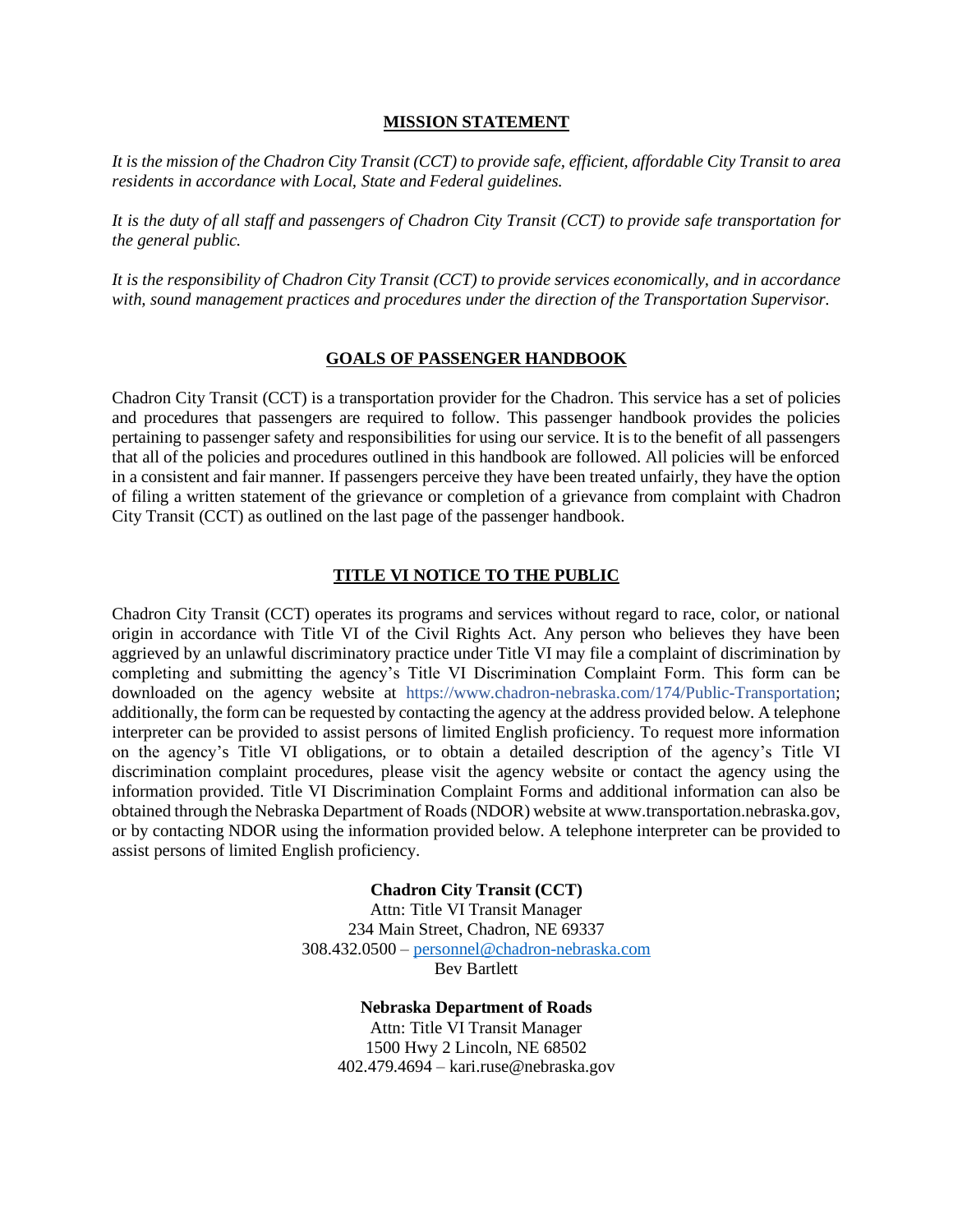#### **MISSION STATEMENT**

*It is the mission of the Chadron City Transit (CCT) to provide safe, efficient, affordable City Transit to area residents in accordance with Local, State and Federal guidelines.*

*It is the duty of all staff and passengers of Chadron City Transit (CCT) to provide safe transportation for the general public.*

*It is the responsibility of Chadron City Transit (CCT) to provide services economically, and in accordance with, sound management practices and procedures under the direction of the Transportation Supervisor.*

## **GOALS OF PASSENGER HANDBOOK**

Chadron City Transit (CCT) is a transportation provider for the Chadron. This service has a set of policies and procedures that passengers are required to follow. This passenger handbook provides the policies pertaining to passenger safety and responsibilities for using our service. It is to the benefit of all passengers that all of the policies and procedures outlined in this handbook are followed. All policies will be enforced in a consistent and fair manner. If passengers perceive they have been treated unfairly, they have the option of filing a written statement of the grievance or completion of a grievance from complaint with Chadron City Transit (CCT) as outlined on the last page of the passenger handbook.

#### **TITLE VI NOTICE TO THE PUBLIC**

Chadron City Transit (CCT) operates its programs and services without regard to race, color, or national origin in accordance with Title VI of the Civil Rights Act. Any person who believes they have been aggrieved by an unlawful discriminatory practice under Title VI may file a complaint of discrimination by completing and submitting the agency's Title VI Discrimination Complaint Form. This form can be downloaded on the agency website at https://www.chadron-nebraska.com/174/Public-Transportation; additionally, the form can be requested by contacting the agency at the address provided below. A telephone interpreter can be provided to assist persons of limited English proficiency. To request more information on the agency's Title VI obligations, or to obtain a detailed description of the agency's Title VI discrimination complaint procedures, please visit the agency website or contact the agency using the information provided. Title VI Discrimination Complaint Forms and additional information can also be obtained through the Nebraska Department of Roads (NDOR) website at www.transportation.nebraska.gov, or by contacting NDOR using the information provided below. A telephone interpreter can be provided to assist persons of limited English proficiency.

#### **Chadron City Transit (CCT)**

Attn: Title VI Transit Manager 234 Main Street, Chadron, NE 69337 308.432.0500 – [personnel@chadron-nebraska.com](mailto:personnel@chadron-nebraska.com) Bev Bartlett

**Nebraska Department of Roads** Attn: Title VI Transit Manager 1500 Hwy 2 Lincoln, NE 68502 402.479.4694 – kari.ruse@nebraska.gov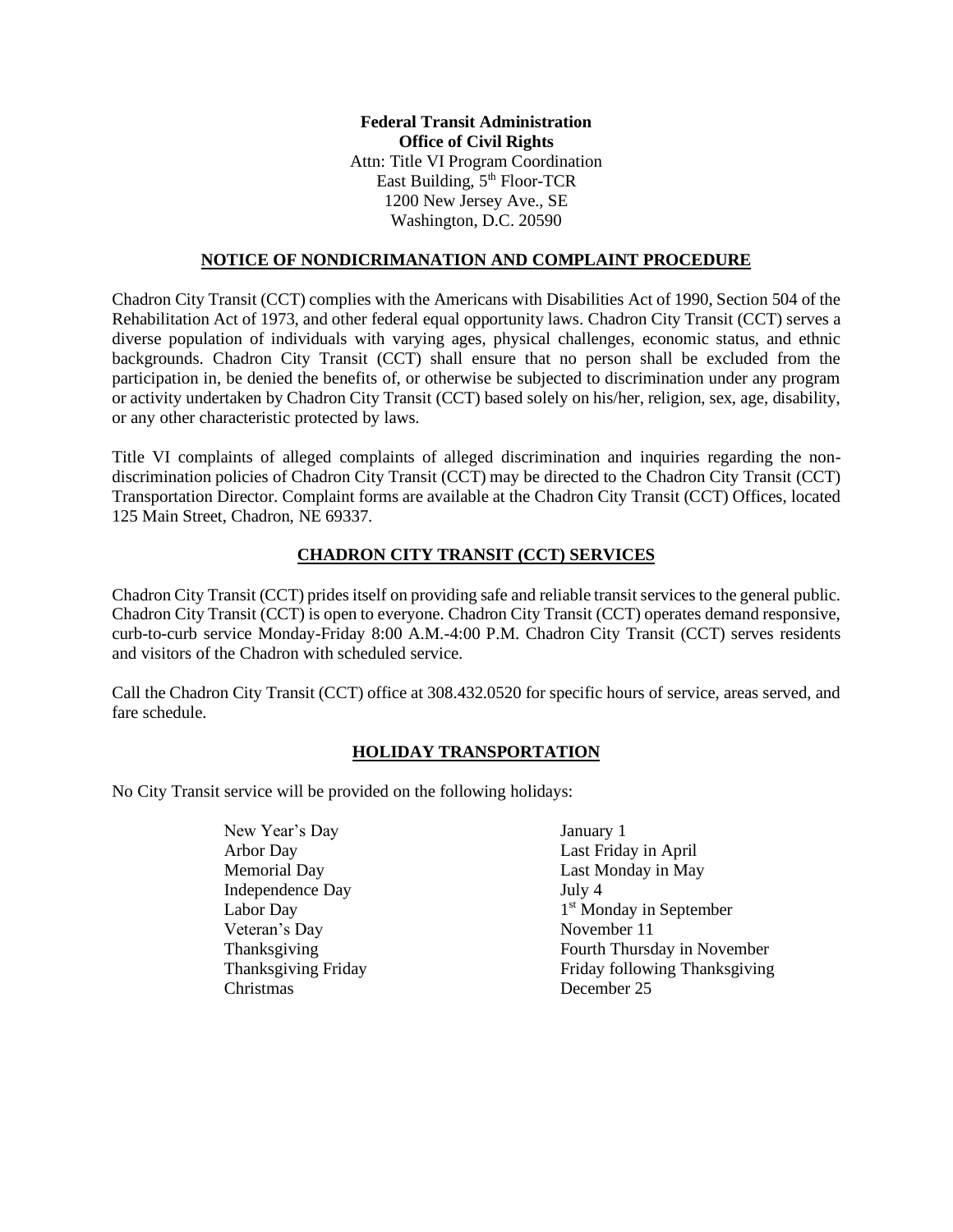**Federal Transit Administration Office of Civil Rights** Attn: Title VI Program Coordination East Building,  $5^{th}$  Floor-TCR 1200 New Jersey Ave., SE Washington, D.C. 20590

## **NOTICE OF NONDICRIMANATION AND COMPLAINT PROCEDURE**

Chadron City Transit (CCT) complies with the Americans with Disabilities Act of 1990, Section 504 of the Rehabilitation Act of 1973, and other federal equal opportunity laws. Chadron City Transit (CCT) serves a diverse population of individuals with varying ages, physical challenges, economic status, and ethnic backgrounds. Chadron City Transit (CCT) shall ensure that no person shall be excluded from the participation in, be denied the benefits of, or otherwise be subjected to discrimination under any program or activity undertaken by Chadron City Transit (CCT) based solely on his/her, religion, sex, age, disability, or any other characteristic protected by laws.

Title VI complaints of alleged complaints of alleged discrimination and inquiries regarding the nondiscrimination policies of Chadron City Transit (CCT) may be directed to the Chadron City Transit (CCT) Transportation Director. Complaint forms are available at the Chadron City Transit (CCT) Offices, located 125 Main Street, Chadron, NE 69337.

## **CHADRON CITY TRANSIT (CCT) SERVICES**

Chadron City Transit (CCT) prides itself on providing safe and reliable transit services to the general public. Chadron City Transit (CCT) is open to everyone. Chadron City Transit (CCT) operates demand responsive, curb-to-curb service Monday-Friday 8:00 A.M.-4:00 P.M. Chadron City Transit (CCT) serves residents and visitors of the Chadron with scheduled service.

Call the Chadron City Transit (CCT) office at 308.432.0520 for specific hours of service, areas served, and fare schedule.

## **HOLIDAY TRANSPORTATION**

No City Transit service will be provided on the following holidays:

| New Year's Day             | January 1                           |
|----------------------------|-------------------------------------|
| <b>Arbor Day</b>           | Last Friday in April                |
| <b>Memorial Day</b>        | Last Monday in May                  |
| <b>Independence Day</b>    | July 4                              |
| Labor Day                  | 1 <sup>st</sup> Monday in September |
| Veteran's Day              | November 11                         |
| Thanksgiving               | Fourth Thursday in November         |
| <b>Thanksgiving Friday</b> | Friday following Thanksgiving       |
| Christmas                  | December 25                         |
|                            |                                     |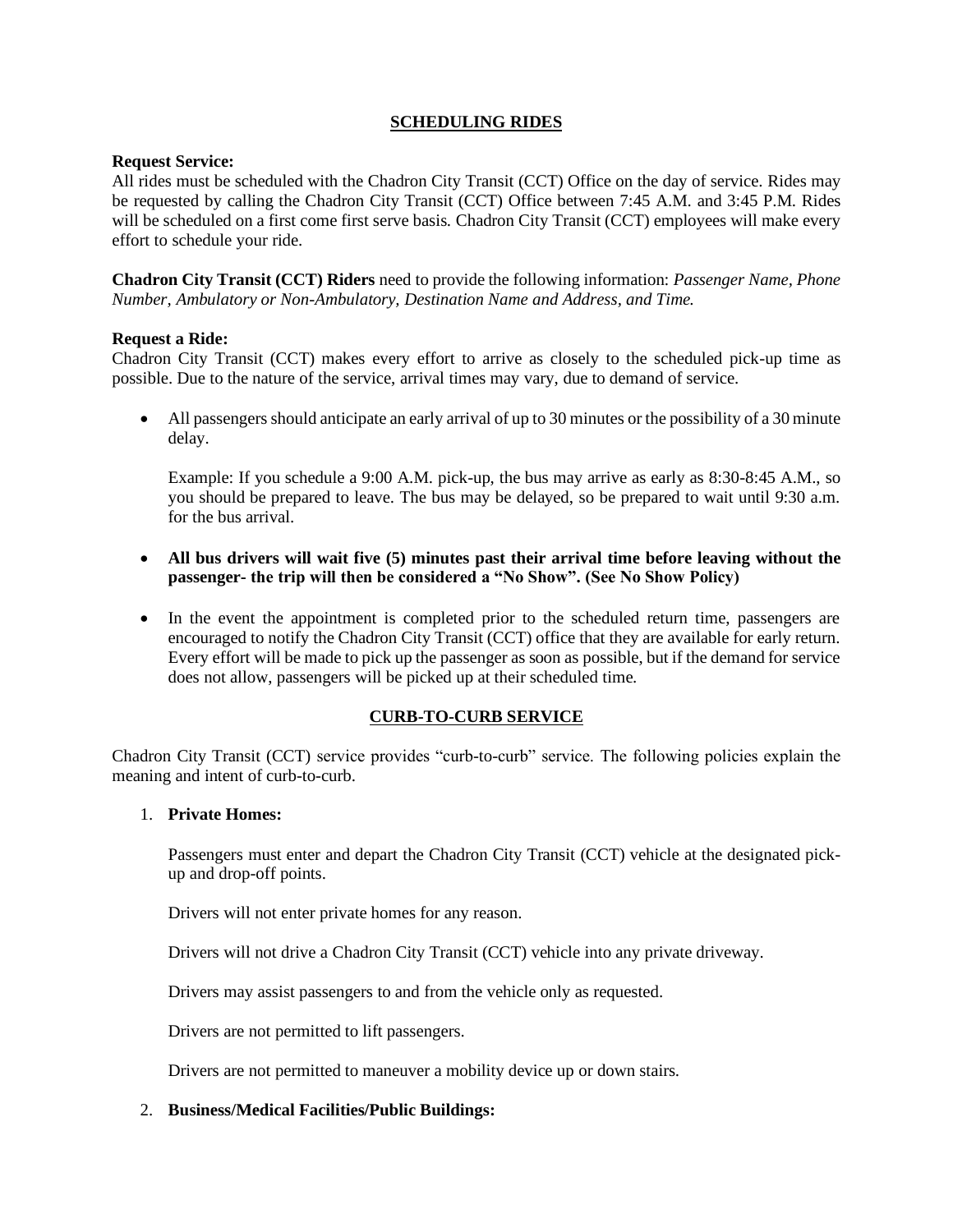## **SCHEDULING RIDES**

## **Request Service:**

All rides must be scheduled with the Chadron City Transit (CCT) Office on the day of service. Rides may be requested by calling the Chadron City Transit (CCT) Office between 7:45 A.M. and 3:45 P.M. Rides will be scheduled on a first come first serve basis. Chadron City Transit (CCT) employees will make every effort to schedule your ride.

**Chadron City Transit (CCT) Riders** need to provide the following information: *Passenger Name, Phone Number, Ambulatory or Non-Ambulatory, Destination Name and Address, and Time.*

## **Request a Ride:**

Chadron City Transit (CCT) makes every effort to arrive as closely to the scheduled pick-up time as possible. Due to the nature of the service, arrival times may vary, due to demand of service.

• All passengers should anticipate an early arrival of up to 30 minutes or the possibility of a 30 minute delay.

Example: If you schedule a 9:00 A.M. pick-up, the bus may arrive as early as 8:30-8:45 A.M., so you should be prepared to leave. The bus may be delayed, so be prepared to wait until 9:30 a.m. for the bus arrival.

- **All bus drivers will wait five (5) minutes past their arrival time before leaving without the passenger- the trip will then be considered a "No Show". (See No Show Policy)**
- In the event the appointment is completed prior to the scheduled return time, passengers are encouraged to notify the Chadron City Transit (CCT) office that they are available for early return. Every effort will be made to pick up the passenger as soon as possible, but if the demand for service does not allow, passengers will be picked up at their scheduled time.

## **CURB-TO-CURB SERVICE**

Chadron City Transit (CCT) service provides "curb-to-curb" service. The following policies explain the meaning and intent of curb-to-curb.

## 1. **Private Homes:**

Passengers must enter and depart the Chadron City Transit (CCT) vehicle at the designated pickup and drop-off points.

Drivers will not enter private homes for any reason.

Drivers will not drive a Chadron City Transit (CCT) vehicle into any private driveway.

Drivers may assist passengers to and from the vehicle only as requested.

Drivers are not permitted to lift passengers.

Drivers are not permitted to maneuver a mobility device up or down stairs.

## 2. **Business/Medical Facilities/Public Buildings:**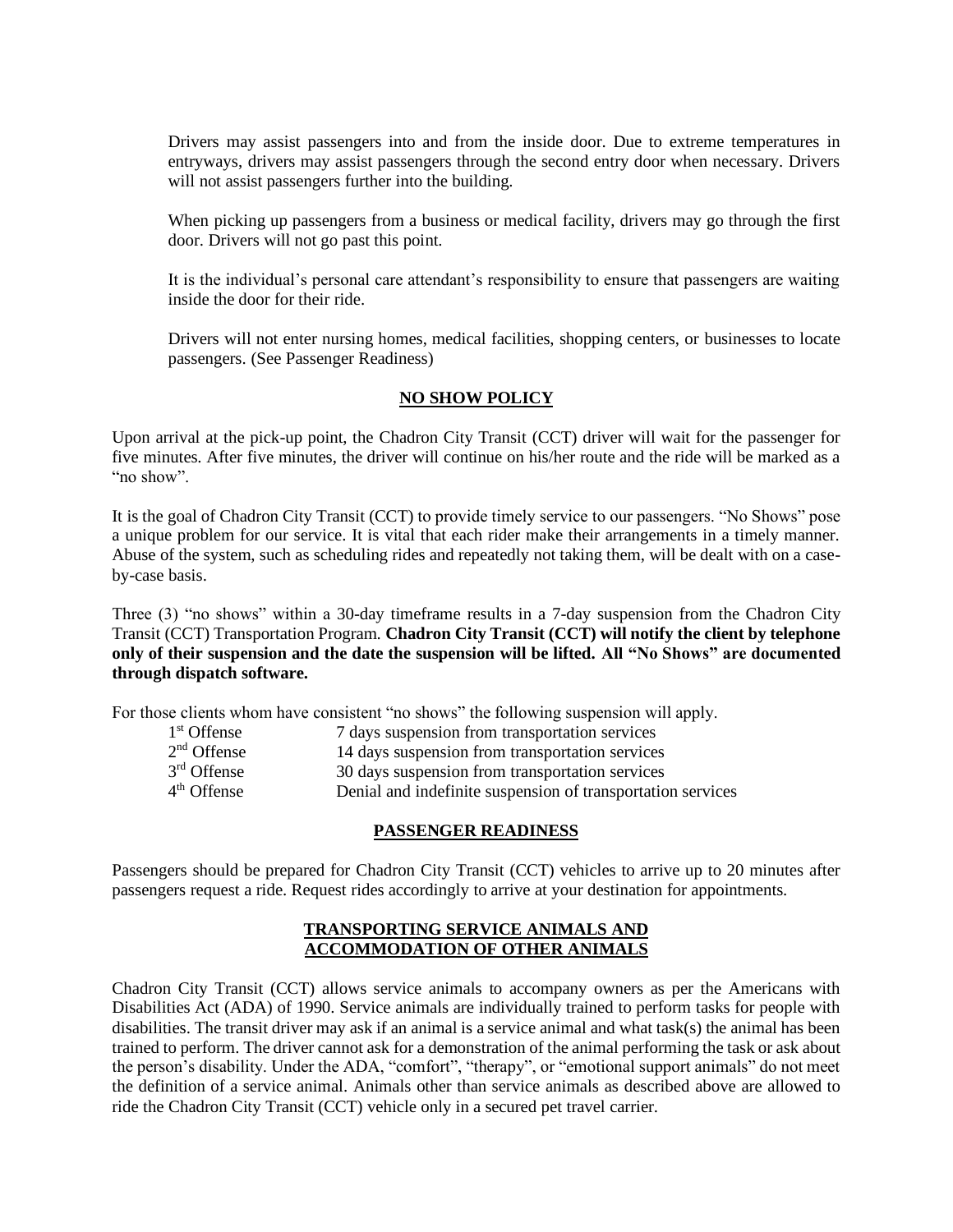Drivers may assist passengers into and from the inside door. Due to extreme temperatures in entryways, drivers may assist passengers through the second entry door when necessary. Drivers will not assist passengers further into the building.

When picking up passengers from a business or medical facility, drivers may go through the first door. Drivers will not go past this point.

It is the individual's personal care attendant's responsibility to ensure that passengers are waiting inside the door for their ride.

Drivers will not enter nursing homes, medical facilities, shopping centers, or businesses to locate passengers. (See Passenger Readiness)

## **NO SHOW POLICY**

Upon arrival at the pick-up point, the Chadron City Transit (CCT) driver will wait for the passenger for five minutes. After five minutes, the driver will continue on his/her route and the ride will be marked as a "no show".

It is the goal of Chadron City Transit (CCT) to provide timely service to our passengers. "No Shows" pose a unique problem for our service. It is vital that each rider make their arrangements in a timely manner. Abuse of the system, such as scheduling rides and repeatedly not taking them, will be dealt with on a caseby-case basis.

Three (3) "no shows" within a 30-day timeframe results in a 7-day suspension from the Chadron City Transit (CCT) Transportation Program. **Chadron City Transit (CCT) will notify the client by telephone only of their suspension and the date the suspension will be lifted. All "No Shows" are documented through dispatch software.**

For those clients whom have consistent "no shows" the following suspension will apply.

| $1st$ Offense | 7 days suspension from transportation services              |
|---------------|-------------------------------------------------------------|
| $2nd$ Offense | 14 days suspension from transportation services             |
| $3rd$ Offense | 30 days suspension from transportation services             |
| $4th$ Offense | Denial and indefinite suspension of transportation services |

#### **PASSENGER READINESS**

Passengers should be prepared for Chadron City Transit (CCT) vehicles to arrive up to 20 minutes after passengers request a ride. Request rides accordingly to arrive at your destination for appointments.

## **TRANSPORTING SERVICE ANIMALS AND ACCOMMODATION OF OTHER ANIMALS**

Chadron City Transit (CCT) allows service animals to accompany owners as per the Americans with Disabilities Act (ADA) of 1990. Service animals are individually trained to perform tasks for people with disabilities. The transit driver may ask if an animal is a service animal and what task(s) the animal has been trained to perform. The driver cannot ask for a demonstration of the animal performing the task or ask about the person's disability. Under the ADA, "comfort", "therapy", or "emotional support animals" do not meet the definition of a service animal. Animals other than service animals as described above are allowed to ride the Chadron City Transit (CCT) vehicle only in a secured pet travel carrier.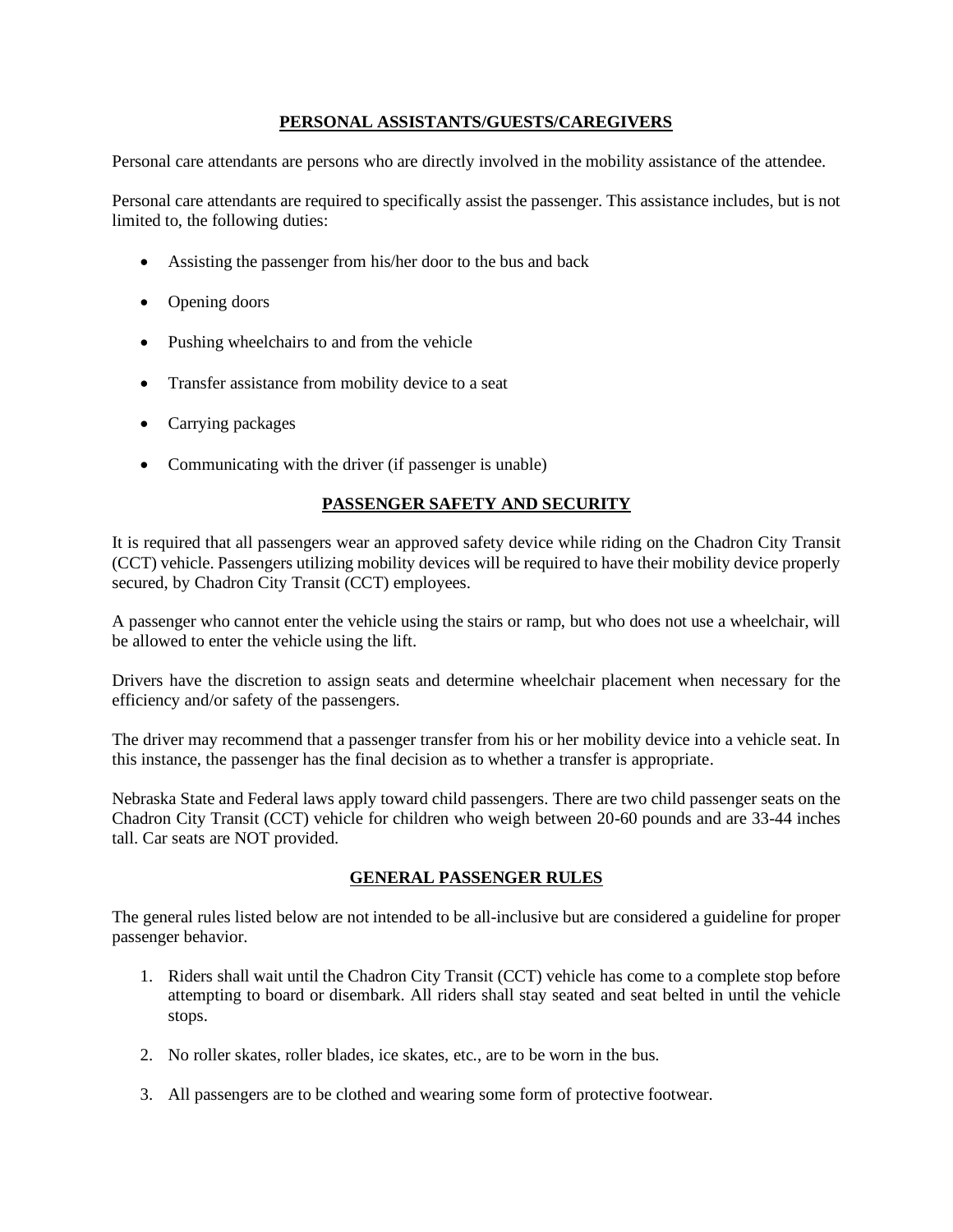## **PERSONAL ASSISTANTS/GUESTS/CAREGIVERS**

Personal care attendants are persons who are directly involved in the mobility assistance of the attendee.

Personal care attendants are required to specifically assist the passenger. This assistance includes, but is not limited to, the following duties:

- Assisting the passenger from his/her door to the bus and back
- Opening doors
- Pushing wheelchairs to and from the vehicle
- Transfer assistance from mobility device to a seat
- Carrying packages
- Communicating with the driver (if passenger is unable)

## **PASSENGER SAFETY AND SECURITY**

It is required that all passengers wear an approved safety device while riding on the Chadron City Transit (CCT) vehicle. Passengers utilizing mobility devices will be required to have their mobility device properly secured, by Chadron City Transit (CCT) employees.

A passenger who cannot enter the vehicle using the stairs or ramp, but who does not use a wheelchair, will be allowed to enter the vehicle using the lift.

Drivers have the discretion to assign seats and determine wheelchair placement when necessary for the efficiency and/or safety of the passengers.

The driver may recommend that a passenger transfer from his or her mobility device into a vehicle seat. In this instance, the passenger has the final decision as to whether a transfer is appropriate.

Nebraska State and Federal laws apply toward child passengers. There are two child passenger seats on the Chadron City Transit (CCT) vehicle for children who weigh between 20-60 pounds and are 33-44 inches tall. Car seats are NOT provided.

## **GENERAL PASSENGER RULES**

The general rules listed below are not intended to be all-inclusive but are considered a guideline for proper passenger behavior.

- 1. Riders shall wait until the Chadron City Transit (CCT) vehicle has come to a complete stop before attempting to board or disembark. All riders shall stay seated and seat belted in until the vehicle stops.
- 2. No roller skates, roller blades, ice skates, etc., are to be worn in the bus.
- 3. All passengers are to be clothed and wearing some form of protective footwear.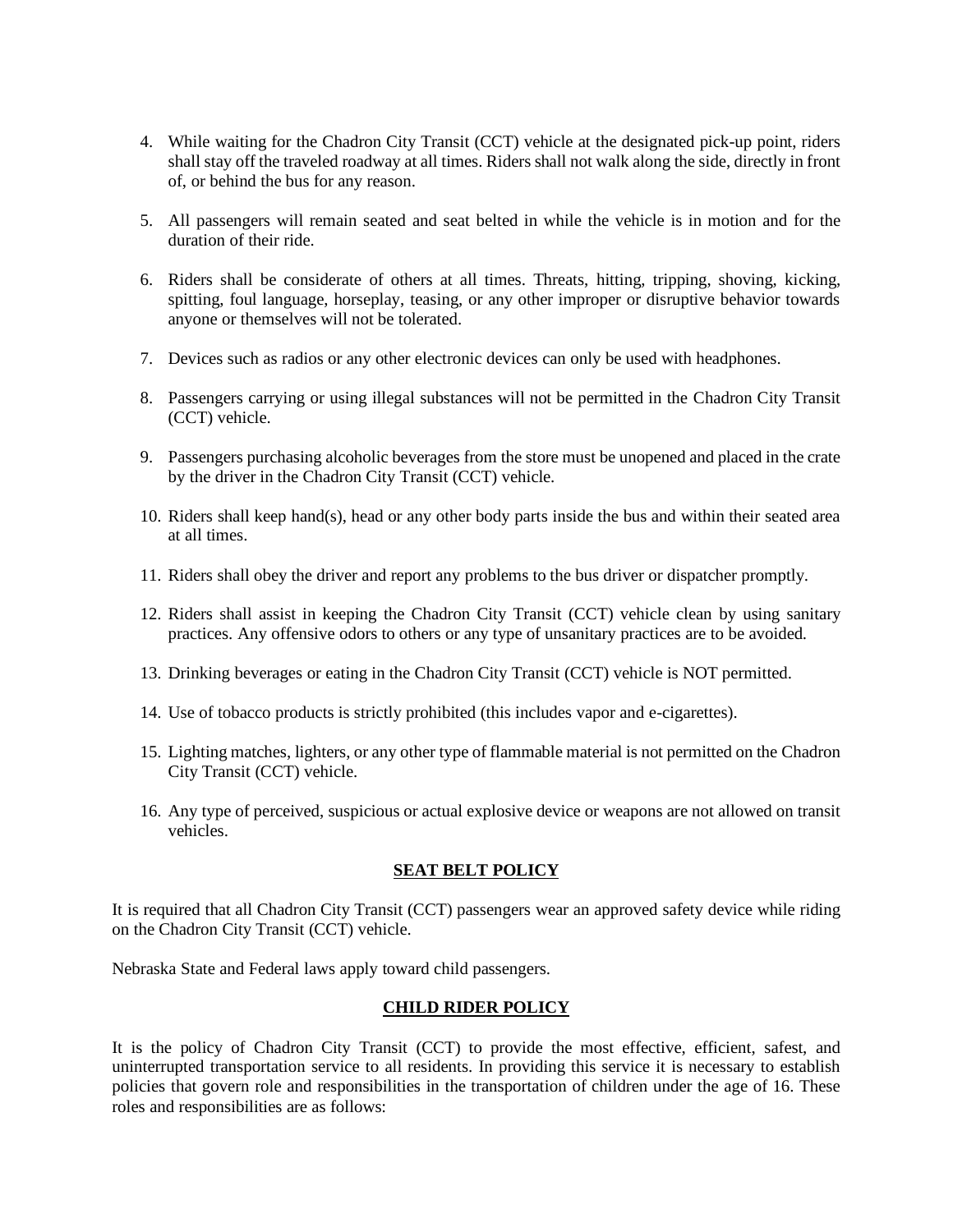- 4. While waiting for the Chadron City Transit (CCT) vehicle at the designated pick-up point, riders shall stay off the traveled roadway at all times. Riders shall not walk along the side, directly in front of, or behind the bus for any reason.
- 5. All passengers will remain seated and seat belted in while the vehicle is in motion and for the duration of their ride.
- 6. Riders shall be considerate of others at all times. Threats, hitting, tripping, shoving, kicking, spitting, foul language, horseplay, teasing, or any other improper or disruptive behavior towards anyone or themselves will not be tolerated.
- 7. Devices such as radios or any other electronic devices can only be used with headphones.
- 8. Passengers carrying or using illegal substances will not be permitted in the Chadron City Transit (CCT) vehicle.
- 9. Passengers purchasing alcoholic beverages from the store must be unopened and placed in the crate by the driver in the Chadron City Transit (CCT) vehicle.
- 10. Riders shall keep hand(s), head or any other body parts inside the bus and within their seated area at all times.
- 11. Riders shall obey the driver and report any problems to the bus driver or dispatcher promptly.
- 12. Riders shall assist in keeping the Chadron City Transit (CCT) vehicle clean by using sanitary practices. Any offensive odors to others or any type of unsanitary practices are to be avoided.
- 13. Drinking beverages or eating in the Chadron City Transit (CCT) vehicle is NOT permitted.
- 14. Use of tobacco products is strictly prohibited (this includes vapor and e-cigarettes).
- 15. Lighting matches, lighters, or any other type of flammable material is not permitted on the Chadron City Transit (CCT) vehicle.
- 16. Any type of perceived, suspicious or actual explosive device or weapons are not allowed on transit vehicles.

## **SEAT BELT POLICY**

It is required that all Chadron City Transit (CCT) passengers wear an approved safety device while riding on the Chadron City Transit (CCT) vehicle.

Nebraska State and Federal laws apply toward child passengers.

## **CHILD RIDER POLICY**

It is the policy of Chadron City Transit (CCT) to provide the most effective, efficient, safest, and uninterrupted transportation service to all residents. In providing this service it is necessary to establish policies that govern role and responsibilities in the transportation of children under the age of 16. These roles and responsibilities are as follows: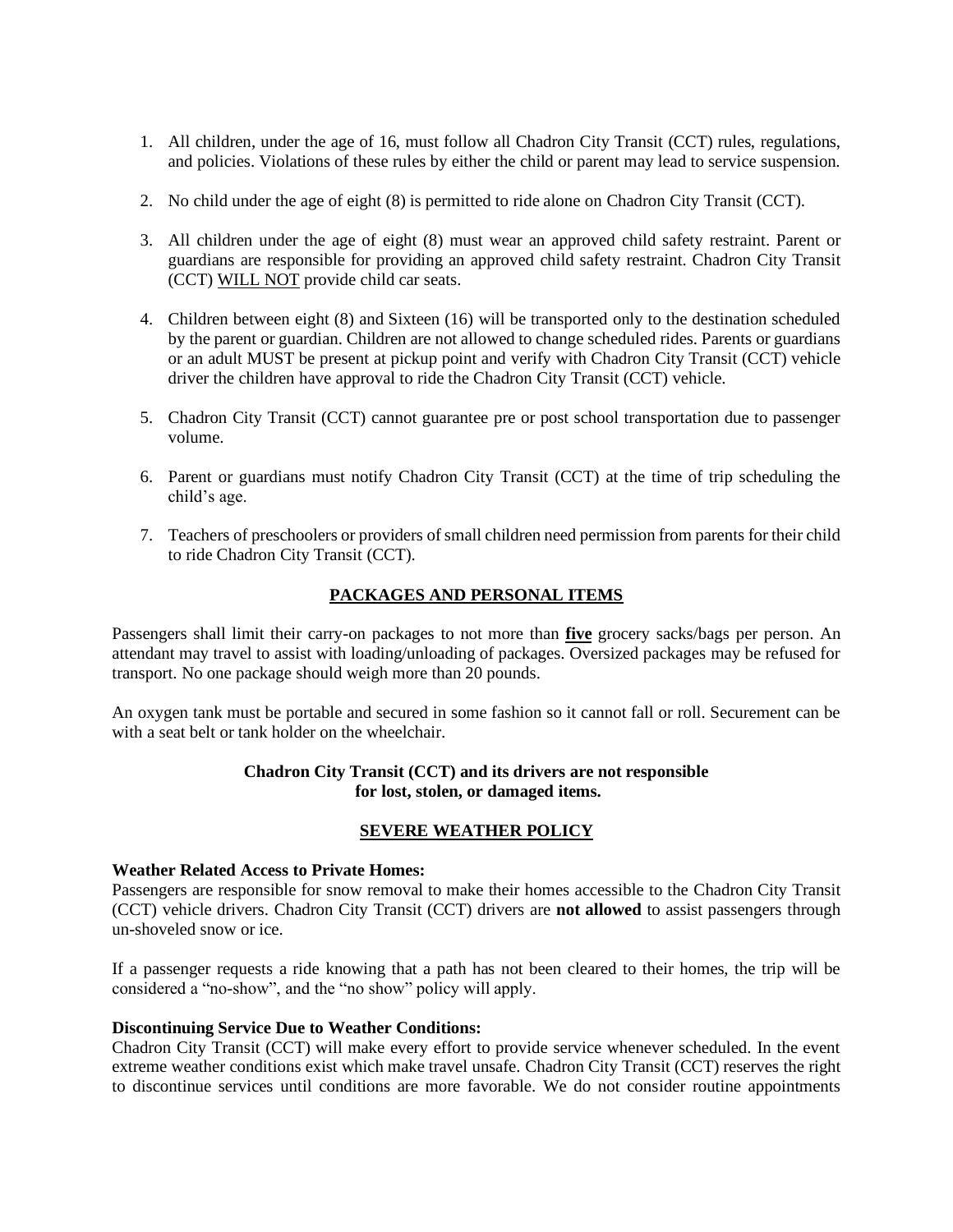- 1. All children, under the age of 16, must follow all Chadron City Transit (CCT) rules, regulations, and policies. Violations of these rules by either the child or parent may lead to service suspension.
- 2. No child under the age of eight (8) is permitted to ride alone on Chadron City Transit (CCT).
- 3. All children under the age of eight (8) must wear an approved child safety restraint. Parent or guardians are responsible for providing an approved child safety restraint. Chadron City Transit (CCT) WILL NOT provide child car seats.
- 4. Children between eight (8) and Sixteen (16) will be transported only to the destination scheduled by the parent or guardian. Children are not allowed to change scheduled rides. Parents or guardians or an adult MUST be present at pickup point and verify with Chadron City Transit (CCT) vehicle driver the children have approval to ride the Chadron City Transit (CCT) vehicle.
- 5. Chadron City Transit (CCT) cannot guarantee pre or post school transportation due to passenger volume.
- 6. Parent or guardians must notify Chadron City Transit (CCT) at the time of trip scheduling the child's age.
- 7. Teachers of preschoolers or providers of small children need permission from parents for their child to ride Chadron City Transit (CCT).

## **PACKAGES AND PERSONAL ITEMS**

Passengers shall limit their carry-on packages to not more than **five** grocery sacks/bags per person. An attendant may travel to assist with loading/unloading of packages. Oversized packages may be refused for transport. No one package should weigh more than 20 pounds.

An oxygen tank must be portable and secured in some fashion so it cannot fall or roll. Securement can be with a seat belt or tank holder on the wheelchair.

## **Chadron City Transit (CCT) and its drivers are not responsible for lost, stolen, or damaged items.**

#### **SEVERE WEATHER POLICY**

#### **Weather Related Access to Private Homes:**

Passengers are responsible for snow removal to make their homes accessible to the Chadron City Transit (CCT) vehicle drivers. Chadron City Transit (CCT) drivers are **not allowed** to assist passengers through un-shoveled snow or ice.

If a passenger requests a ride knowing that a path has not been cleared to their homes, the trip will be considered a "no-show", and the "no show" policy will apply.

#### **Discontinuing Service Due to Weather Conditions:**

Chadron City Transit (CCT) will make every effort to provide service whenever scheduled. In the event extreme weather conditions exist which make travel unsafe. Chadron City Transit (CCT) reserves the right to discontinue services until conditions are more favorable. We do not consider routine appointments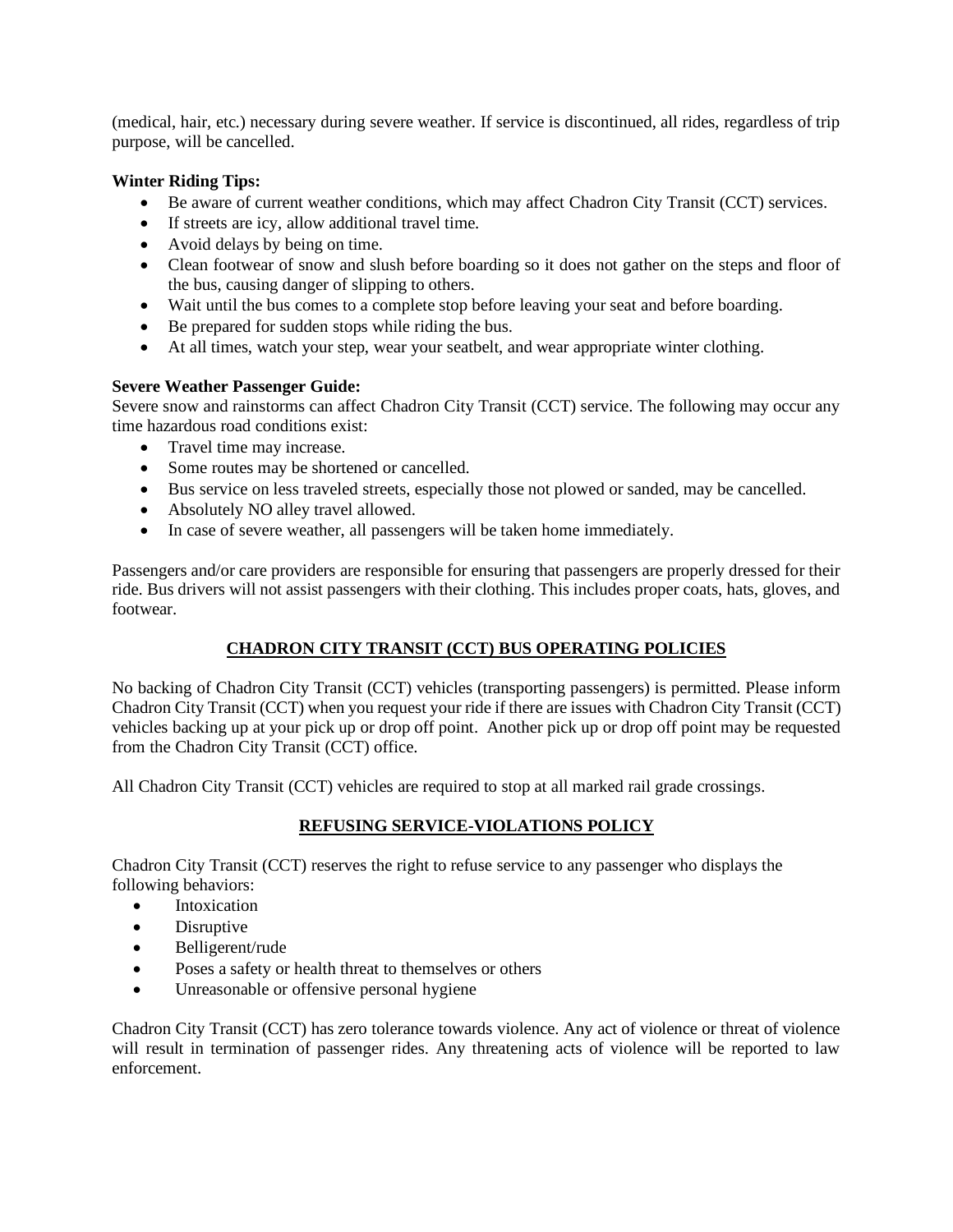(medical, hair, etc.) necessary during severe weather. If service is discontinued, all rides, regardless of trip purpose, will be cancelled.

## **Winter Riding Tips:**

- Be aware of current weather conditions, which may affect Chadron City Transit (CCT) services.
- If streets are icy, allow additional travel time.
- Avoid delays by being on time.
- Clean footwear of snow and slush before boarding so it does not gather on the steps and floor of the bus, causing danger of slipping to others.
- Wait until the bus comes to a complete stop before leaving your seat and before boarding.
- Be prepared for sudden stops while riding the bus.
- At all times, watch your step, wear your seatbelt, and wear appropriate winter clothing.

## **Severe Weather Passenger Guide:**

Severe snow and rainstorms can affect Chadron City Transit (CCT) service. The following may occur any time hazardous road conditions exist:

- Travel time may increase.
- Some routes may be shortened or cancelled.
- Bus service on less traveled streets, especially those not plowed or sanded, may be cancelled.
- Absolutely NO alley travel allowed.
- In case of severe weather, all passengers will be taken home immediately.

Passengers and/or care providers are responsible for ensuring that passengers are properly dressed for their ride. Bus drivers will not assist passengers with their clothing. This includes proper coats, hats, gloves, and footwear.

## **CHADRON CITY TRANSIT (CCT) BUS OPERATING POLICIES**

No backing of Chadron City Transit (CCT) vehicles (transporting passengers) is permitted. Please inform Chadron City Transit (CCT) when you request your ride if there are issues with Chadron City Transit (CCT) vehicles backing up at your pick up or drop off point. Another pick up or drop off point may be requested from the Chadron City Transit (CCT) office.

All Chadron City Transit (CCT) vehicles are required to stop at all marked rail grade crossings.

## **REFUSING SERVICE-VIOLATIONS POLICY**

Chadron City Transit (CCT) reserves the right to refuse service to any passenger who displays the following behaviors:

- Intoxication
- Disruptive
- Belligerent/rude
- Poses a safety or health threat to themselves or others
- Unreasonable or offensive personal hygiene

Chadron City Transit (CCT) has zero tolerance towards violence. Any act of violence or threat of violence will result in termination of passenger rides. Any threatening acts of violence will be reported to law enforcement.